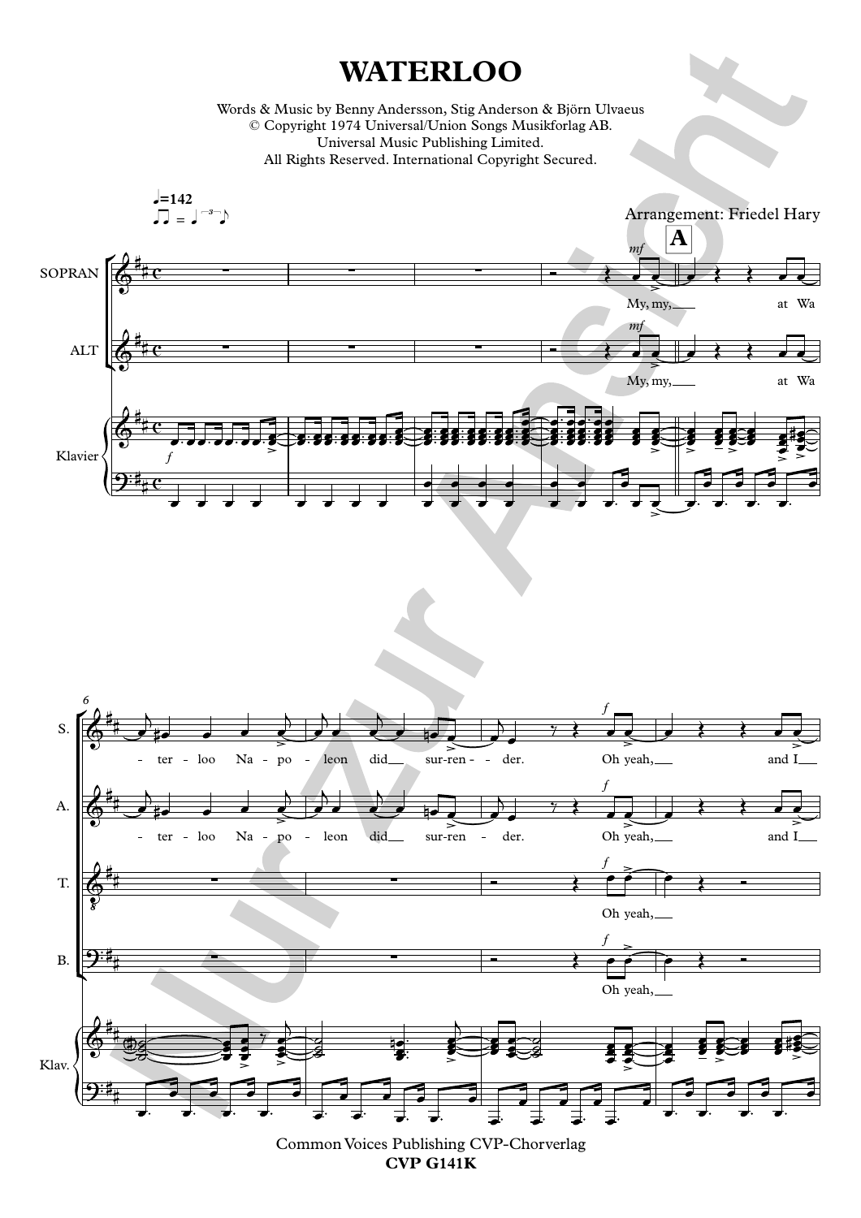## **WATERLOO**

Words & Music by Benny Andersson, Stig Anderson & Björn Ulvaeus © Copyright 1974 Universal/Union Songs Musikforlag AB. Universal Music Publishing Limited. All Rights Reserved. International Copyright Secured.





Common Voices Publishing CVP-Chorverlag **CVP G141K**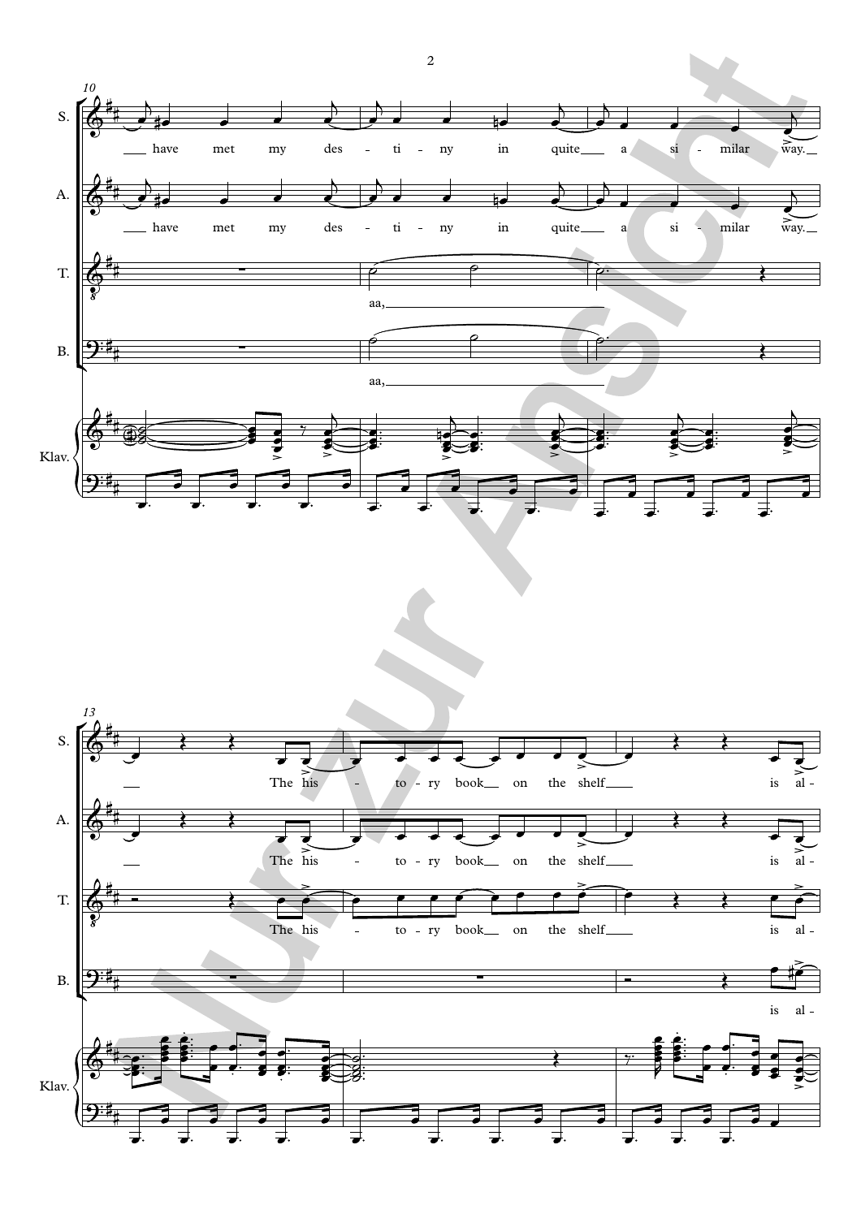

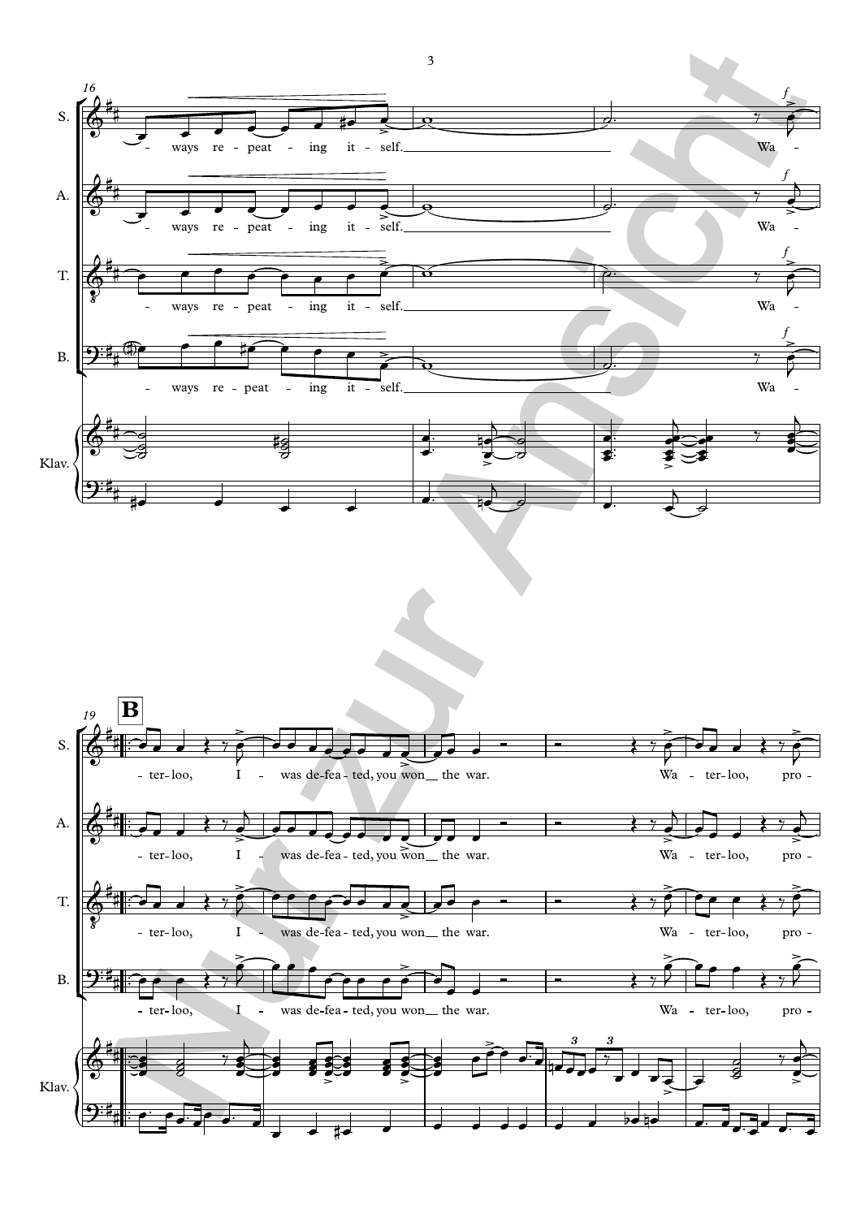

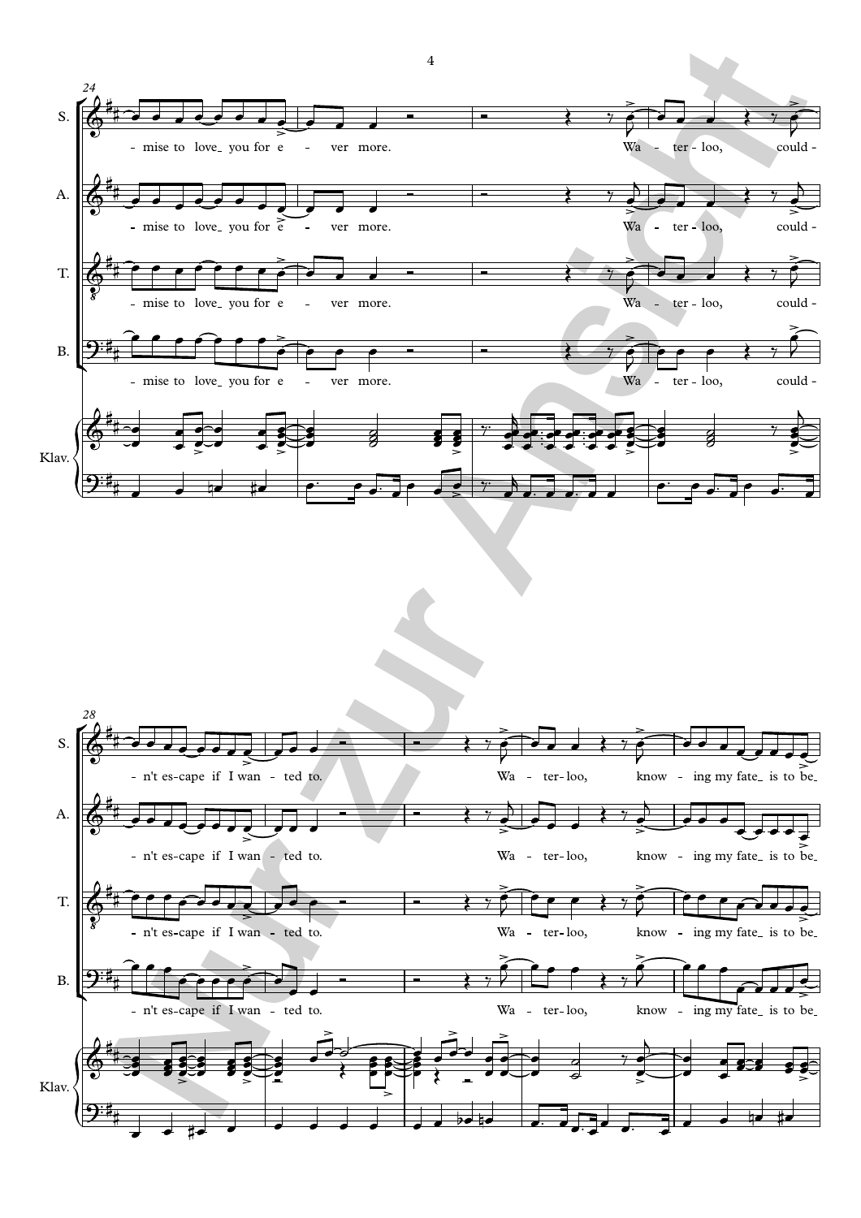

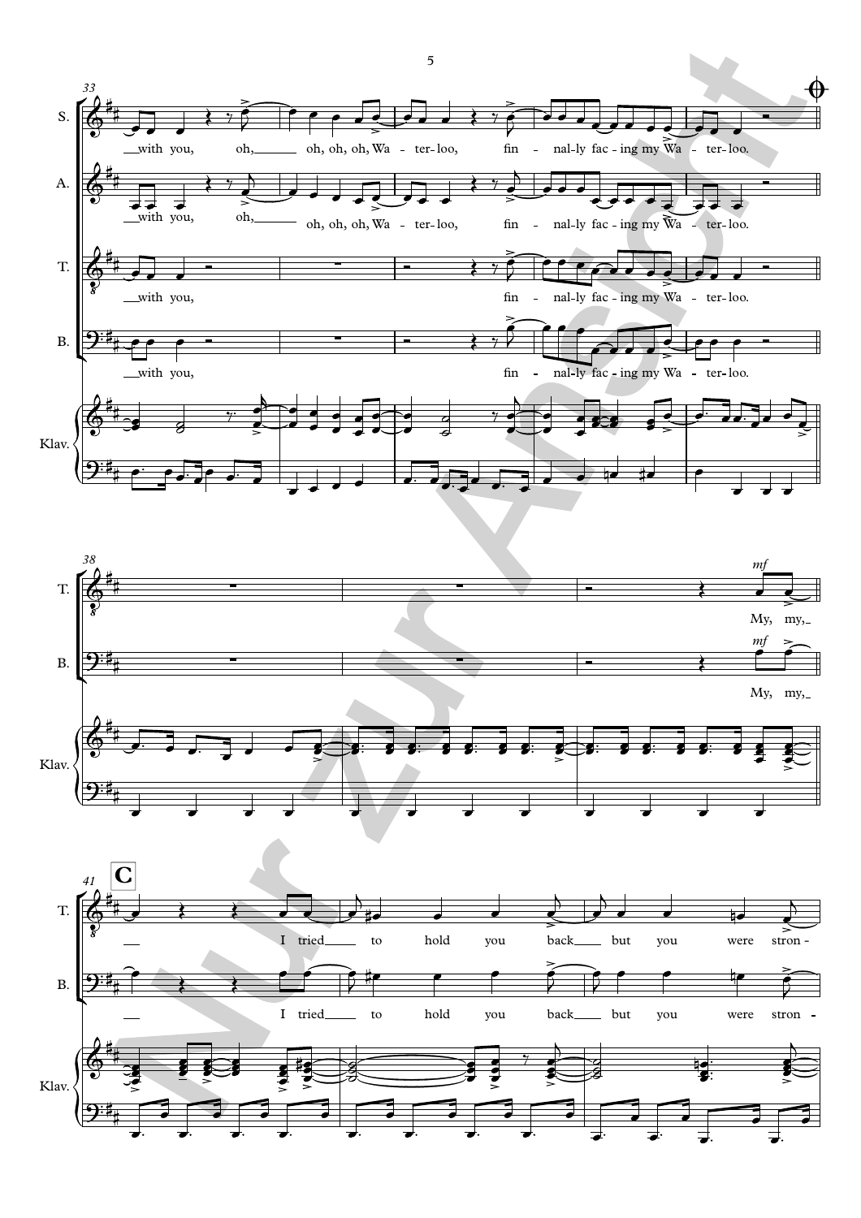



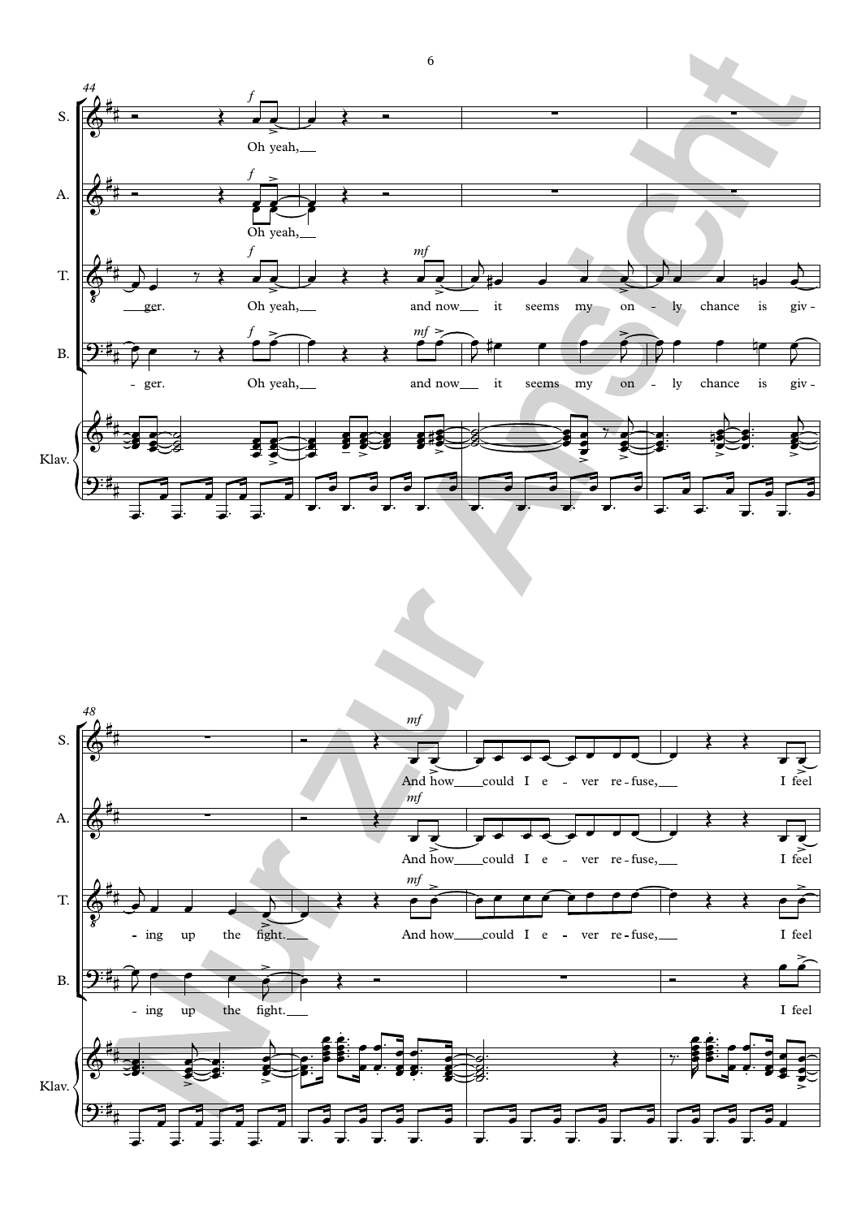

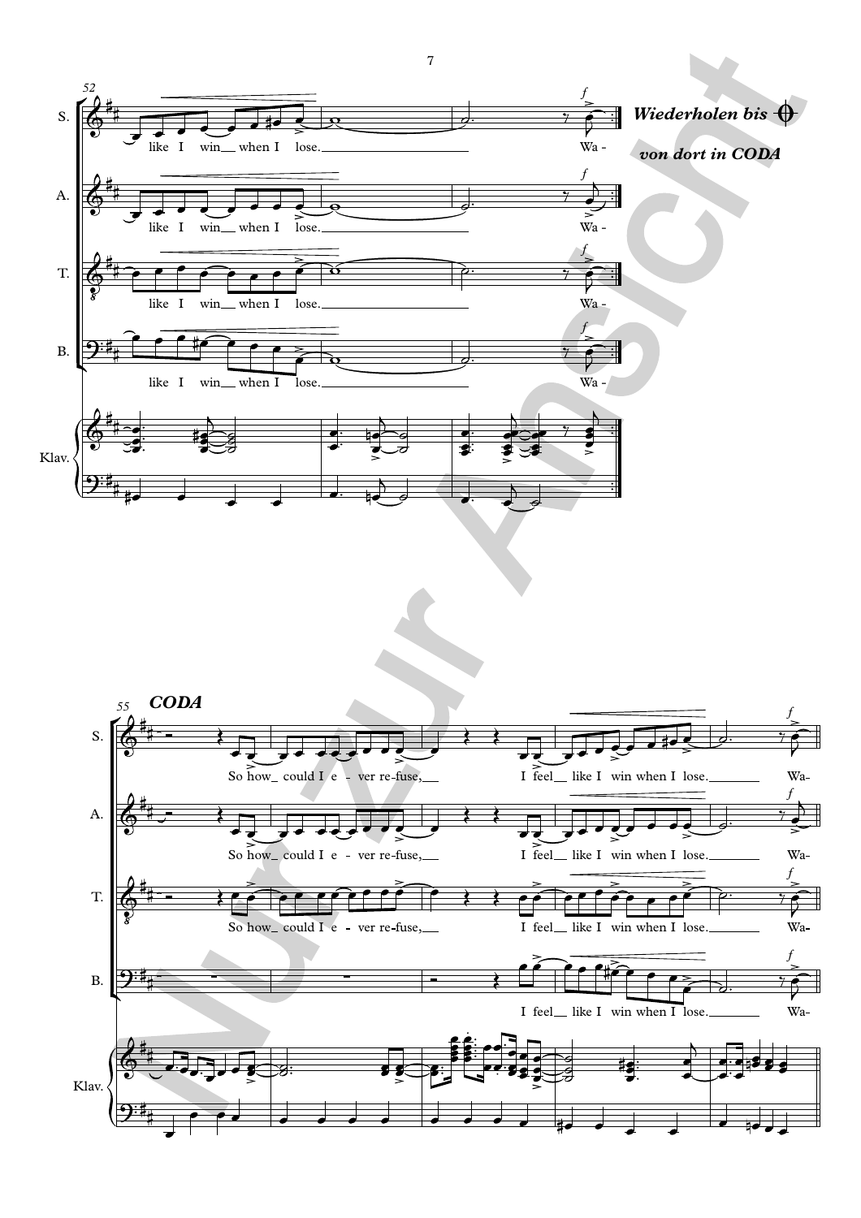